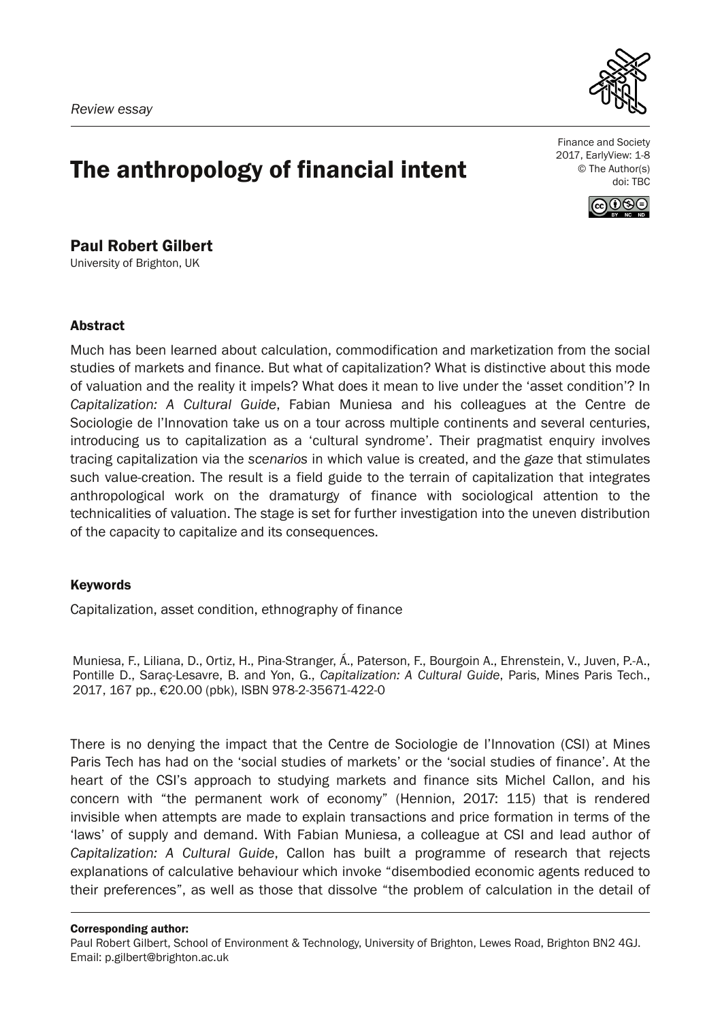

# The anthropology of financial intent

Finance and Society 2017, EarlyView: 1-8 © The Author(s) doi: TBC



Paul Robert Gilbert University of Brighton, UK

## Abstract

Much has been learned about calculation, commodification and marketization from the social studies of markets and finance. But what of capitalization? What is distinctive about this mode of valuation and the reality it impels? What does it mean to live under the 'asset condition'? In *Capitalization: A Cultural Guide*, Fabian Muniesa and his colleagues at the Centre de Sociologie de l'Innovation take us on a tour across multiple continents and several centuries, introducing us to capitalization as a 'cultural syndrome'. Their pragmatist enquiry involves tracing capitalization via the *scenarios* in which value is created, and the *gaze* that stimulates such value-creation. The result is a field guide to the terrain of capitalization that integrates anthropological work on the dramaturgy of finance with sociological attention to the technicalities of valuation. The stage is set for further investigation into the uneven distribution of the capacity to capitalize and its consequences.

### Keywords

Capitalization, asset condition, ethnography of finance

Muniesa, F., Liliana, D., Ortiz, H., Pina-Stranger, Á., Paterson, F., Bourgoin A., Ehrenstein, V., Juven, P.-A., Pontille D., Saraç-Lesavre, B. and Yon, G., *Capitalization: A Cultural Guide*, Paris, Mines Paris Tech., 2017, 167 pp., €20.00 (pbk), ISBN 978-2-35671-422-0

There is no denying the impact that the Centre de Sociologie de l'Innovation (CSI) at Mines Paris Tech has had on the 'social studies of markets' or the 'social studies of finance'. At the heart of the CSI's approach to studying markets and finance sits Michel Callon, and his concern with "the permanent work of economy" (Hennion, 2017: 115) that is rendered invisible when attempts are made to explain transactions and price formation in terms of the 'laws' of supply and demand. With Fabian Muniesa, a colleague at CSI and lead author of *Capitalization: A Cultural Guide*, Callon has built a programme of research that rejects explanations of calculative behaviour which invoke "disembodied economic agents reduced to their preferences", as well as those that dissolve "the problem of calculation in the detail of

#### Corresponding author:

Paul Robert Gilbert, School of Environment & Technology, University of Brighton, Lewes Road, Brighton BN2 4GJ. Email: p.gilbert@brighton.ac.uk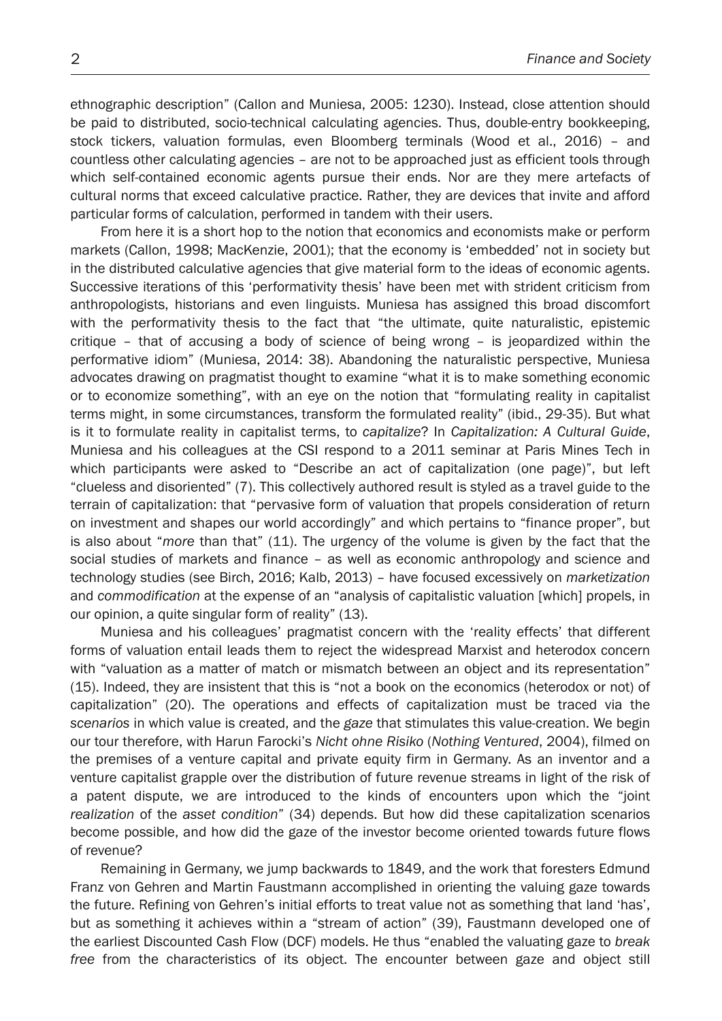ethnographic description" (Callon and Muniesa, 2005: 1230). Instead, close attention should be paid to distributed, socio-technical calculating agencies. Thus, double-entry bookkeeping, stock tickers, valuation formulas, even Bloomberg terminals (Wood et al., 2016) – and countless other calculating agencies – are not to be approached just as efficient tools through which self-contained economic agents pursue their ends. Nor are they mere artefacts of cultural norms that exceed calculative practice. Rather, they are devices that invite and afford particular forms of calculation, performed in tandem with their users.

From here it is a short hop to the notion that economics and economists make or perform markets (Callon, 1998; MacKenzie, 2001); that the economy is 'embedded' not in society but in the distributed calculative agencies that give material form to the ideas of economic agents. Successive iterations of this 'performativity thesis' have been met with strident criticism from anthropologists, historians and even linguists. Muniesa has assigned this broad discomfort with the performativity thesis to the fact that "the ultimate, quite naturalistic, epistemic critique – that of accusing a body of science of being wrong – is jeopardized within the performative idiom" (Muniesa, 2014: 38). Abandoning the naturalistic perspective, Muniesa advocates drawing on pragmatist thought to examine "what it is to make something economic or to economize something", with an eye on the notion that "formulating reality in capitalist terms might, in some circumstances, transform the formulated reality" (ibid., 29-35). But what is it to formulate reality in capitalist terms, to *capitalize*? In *Capitalization: A Cultural Guide*, Muniesa and his colleagues at the CSI respond to a 2011 seminar at Paris Mines Tech in which participants were asked to "Describe an act of capitalization (one page)", but left "clueless and disoriented" (7). This collectively authored result is styled as a travel guide to the terrain of capitalization: that "pervasive form of valuation that propels consideration of return on investment and shapes our world accordingly" and which pertains to "finance proper", but is also about "*more* than that" (11). The urgency of the volume is given by the fact that the social studies of markets and finance – as well as economic anthropology and science and technology studies (see Birch, 2016; Kalb, 2013) – have focused excessively on *marketization* and *commodification* at the expense of an "analysis of capitalistic valuation [which] propels, in our opinion, a quite singular form of reality" (13).

Muniesa and his colleagues' pragmatist concern with the 'reality effects' that different forms of valuation entail leads them to reject the widespread Marxist and heterodox concern with "valuation as a matter of match or mismatch between an object and its representation" (15). Indeed, they are insistent that this is "not a book on the economics (heterodox or not) of capitalization" (20). The operations and effects of capitalization must be traced via the *scenarios* in which value is created, and the *gaze* that stimulates this value-creation. We begin our tour therefore, with Harun Farocki's *Nicht ohne Risiko* (*Nothing Ventured*, 2004), filmed on the premises of a venture capital and private equity firm in Germany. As an inventor and a venture capitalist grapple over the distribution of future revenue streams in light of the risk of a patent dispute, we are introduced to the kinds of encounters upon which the "joint *realization* of the *asset condition*" (34) depends. But how did these capitalization scenarios become possible, and how did the gaze of the investor become oriented towards future flows of revenue?

Remaining in Germany, we jump backwards to 1849, and the work that foresters Edmund Franz von Gehren and Martin Faustmann accomplished in orienting the valuing gaze towards the future. Refining von Gehren's initial efforts to treat value not as something that land 'has', but as something it achieves within a "stream of action" (39), Faustmann developed one of the earliest Discounted Cash Flow (DCF) models. He thus "enabled the valuating gaze to *break free* from the characteristics of its object. The encounter between gaze and object still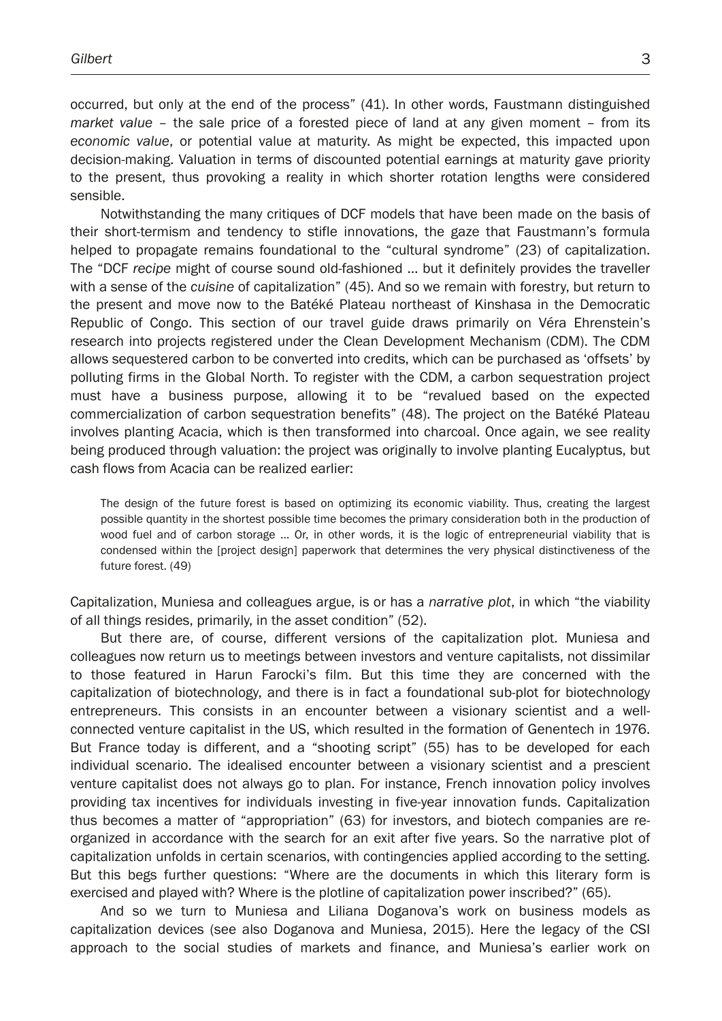occurred, but only at the end of the process" (41). In other words, Faustmann distinguished *market value* – the sale price of a forested piece of land at any given moment – from its *economic value*, or potential value at maturity. As might be expected, this impacted upon decision-making. Valuation in terms of discounted potential earnings at maturity gave priority to the present, thus provoking a reality in which shorter rotation lengths were considered sensible.

Notwithstanding the many critiques of DCF models that have been made on the basis of their short-termism and tendency to stifle innovations, the gaze that Faustmann's formula helped to propagate remains foundational to the "cultural syndrome" (23) of capitalization. The "DCF *recipe* might of course sound old-fashioned … but it definitely provides the traveller with a sense of the *cuisine* of capitalization" (45). And so we remain with forestry, but return to the present and move now to the Batéké Plateau northeast of Kinshasa in the Democratic Republic of Congo. This section of our travel guide draws primarily on Véra Ehrenstein's research into projects registered under the Clean Development Mechanism (CDM). The CDM allows sequestered carbon to be converted into credits, which can be purchased as 'offsets' by polluting firms in the Global North. To register with the CDM, a carbon sequestration project must have a business purpose, allowing it to be "revalued based on the expected commercialization of carbon sequestration benefits" (48). The project on the Batéké Plateau involves planting Acacia, which is then transformed into charcoal. Once again, we see reality being produced through valuation: the project was originally to involve planting Eucalyptus, but cash flows from Acacia can be realized earlier:

The design of the future forest is based on optimizing its economic viability. Thus, creating the largest possible quantity in the shortest possible time becomes the primary consideration both in the production of wood fuel and of carbon storage … Or, in other words, it is the logic of entrepreneurial viability that is condensed within the [project design] paperwork that determines the very physical distinctiveness of the future forest. (49)

Capitalization, Muniesa and colleagues argue, is or has a *narrative plot*, in which "the viability of all things resides, primarily, in the asset condition" (52).

But there are, of course, different versions of the capitalization plot. Muniesa and colleagues now return us to meetings between investors and venture capitalists, not dissimilar to those featured in Harun Farocki's film. But this time they are concerned with the capitalization of biotechnology, and there is in fact a foundational sub-plot for biotechnology entrepreneurs. This consists in an encounter between a visionary scientist and a wellconnected venture capitalist in the US, which resulted in the formation of Genentech in 1976. But France today is different, and a "shooting script" (55) has to be developed for each individual scenario. The idealised encounter between a visionary scientist and a prescient venture capitalist does not always go to plan. For instance, French innovation policy involves providing tax incentives for individuals investing in five-year innovation funds. Capitalization thus becomes a matter of "appropriation" (63) for investors, and biotech companies are reorganized in accordance with the search for an exit after five years. So the narrative plot of capitalization unfolds in certain scenarios, with contingencies applied according to the setting. But this begs further questions: "Where are the documents in which this literary form is exercised and played with? Where is the plotline of capitalization power inscribed?" (65).

And so we turn to Muniesa and Liliana Doganova's work on business models as capitalization devices (see also Doganova and Muniesa, 2015). Here the legacy of the CSI approach to the social studies of markets and finance, and Muniesa's earlier work on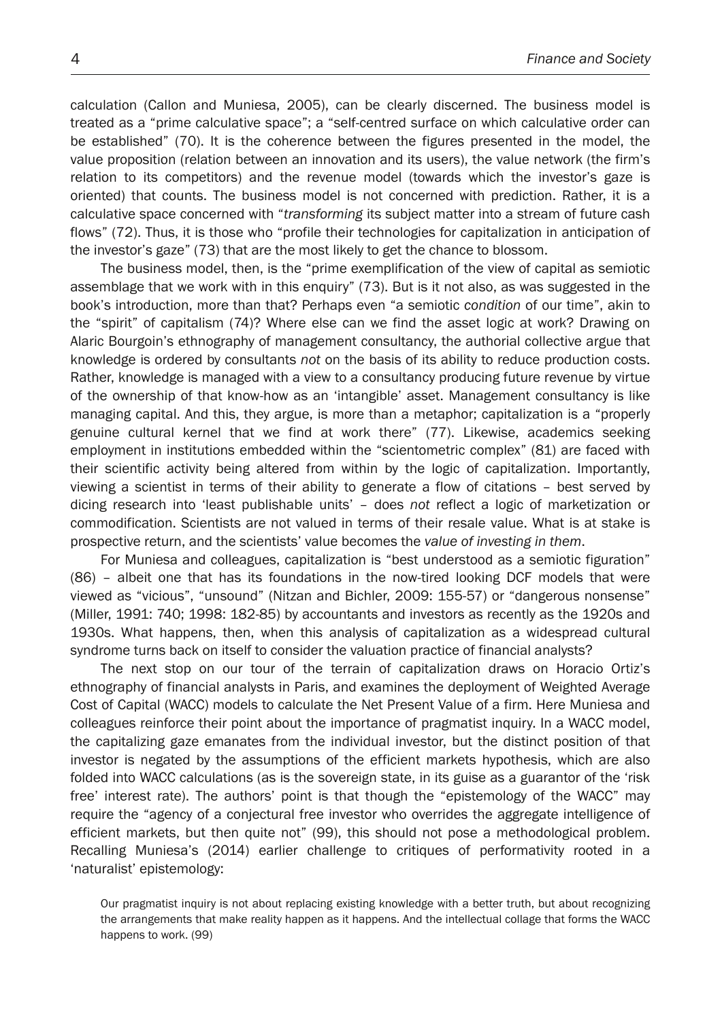calculation (Callon and Muniesa, 2005), can be clearly discerned. The business model is treated as a "prime calculative space"; a "self-centred surface on which calculative order can be established" (70). It is the coherence between the figures presented in the model, the value proposition (relation between an innovation and its users), the value network (the firm's relation to its competitors) and the revenue model (towards which the investor's gaze is oriented) that counts. The business model is not concerned with prediction. Rather, it is a calculative space concerned with "*transforming* its subject matter into a stream of future cash flows" (72). Thus, it is those who "profile their technologies for capitalization in anticipation of the investor's gaze" (73) that are the most likely to get the chance to blossom.

The business model, then, is the "prime exemplification of the view of capital as semiotic assemblage that we work with in this enquiry" (73). But is it not also, as was suggested in the book's introduction, more than that? Perhaps even "a semiotic *condition* of our time", akin to the "spirit" of capitalism (74)? Where else can we find the asset logic at work? Drawing on Alaric Bourgoin's ethnography of management consultancy, the authorial collective argue that knowledge is ordered by consultants *not* on the basis of its ability to reduce production costs. Rather, knowledge is managed with a view to a consultancy producing future revenue by virtue of the ownership of that know-how as an 'intangible' asset. Management consultancy is like managing capital. And this, they argue, is more than a metaphor; capitalization is a "properly genuine cultural kernel that we find at work there" (77). Likewise, academics seeking employment in institutions embedded within the "scientometric complex" (81) are faced with their scientific activity being altered from within by the logic of capitalization. Importantly, viewing a scientist in terms of their ability to generate a flow of citations – best served by dicing research into 'least publishable units' – does *not* reflect a logic of marketization or commodification. Scientists are not valued in terms of their resale value. What is at stake is prospective return, and the scientists' value becomes the *value of investing in them*.

For Muniesa and colleagues, capitalization is "best understood as a semiotic figuration" (86) – albeit one that has its foundations in the now-tired looking DCF models that were viewed as "vicious", "unsound" (Nitzan and Bichler, 2009: 155-57) or "dangerous nonsense" (Miller, 1991: 740; 1998: 182-85) by accountants and investors as recently as the 1920s and 1930s. What happens, then, when this analysis of capitalization as a widespread cultural syndrome turns back on itself to consider the valuation practice of financial analysts?

The next stop on our tour of the terrain of capitalization draws on Horacio Ortiz's ethnography of financial analysts in Paris, and examines the deployment of Weighted Average Cost of Capital (WACC) models to calculate the Net Present Value of a firm. Here Muniesa and colleagues reinforce their point about the importance of pragmatist inquiry. In a WACC model, the capitalizing gaze emanates from the individual investor, but the distinct position of that investor is negated by the assumptions of the efficient markets hypothesis, which are also folded into WACC calculations (as is the sovereign state, in its guise as a guarantor of the 'risk free' interest rate). The authors' point is that though the "epistemology of the WACC" may require the "agency of a conjectural free investor who overrides the aggregate intelligence of efficient markets, but then quite not" (99), this should not pose a methodological problem. Recalling Muniesa's (2014) earlier challenge to critiques of performativity rooted in a 'naturalist' epistemology:

Our pragmatist inquiry is not about replacing existing knowledge with a better truth, but about recognizing the arrangements that make reality happen as it happens. And the intellectual collage that forms the WACC happens to work. (99)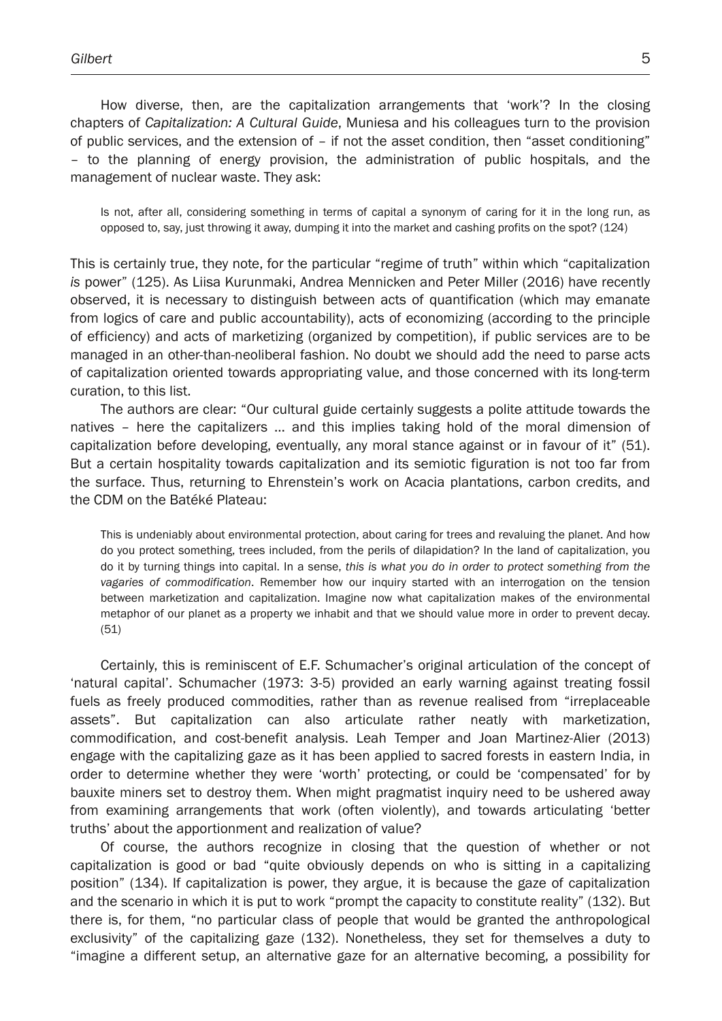How diverse, then, are the capitalization arrangements that 'work'? In the closing chapters of *Capitalization: A Cultural Guide*, Muniesa and his colleagues turn to the provision of public services, and the extension of – if not the asset condition, then "asset conditioning" – to the planning of energy provision, the administration of public hospitals, and the management of nuclear waste. They ask:

Is not, after all, considering something in terms of capital a synonym of caring for it in the long run, as opposed to, say, just throwing it away, dumping it into the market and cashing profits on the spot? (124)

This is certainly true, they note, for the particular "regime of truth" within which "capitalization *is* power" (125). As Liisa Kurunmaki, Andrea Mennicken and Peter Miller (2016) have recently observed, it is necessary to distinguish between acts of quantification (which may emanate from logics of care and public accountability), acts of economizing (according to the principle of efficiency) and acts of marketizing (organized by competition), if public services are to be managed in an other-than-neoliberal fashion. No doubt we should add the need to parse acts of capitalization oriented towards appropriating value, and those concerned with its long-term curation, to this list.

The authors are clear: "Our cultural guide certainly suggests a polite attitude towards the natives – here the capitalizers … and this implies taking hold of the moral dimension of capitalization before developing, eventually, any moral stance against or in favour of it" (51). But a certain hospitality towards capitalization and its semiotic figuration is not too far from the surface. Thus, returning to Ehrenstein's work on Acacia plantations, carbon credits, and the CDM on the Batéké Plateau:

This is undeniably about environmental protection, about caring for trees and revaluing the planet. And how do you protect something, trees included, from the perils of dilapidation? In the land of capitalization, you do it by turning things into capital. In a sense, *this is what you do in order to protect something from the vagaries of commodification*. Remember how our inquiry started with an interrogation on the tension between marketization and capitalization. Imagine now what capitalization makes of the environmental metaphor of our planet as a property we inhabit and that we should value more in order to prevent decay. (51)

Certainly, this is reminiscent of E.F. Schumacher's original articulation of the concept of 'natural capital'. Schumacher (1973: 3-5) provided an early warning against treating fossil fuels as freely produced commodities, rather than as revenue realised from "irreplaceable assets". But capitalization can also articulate rather neatly with marketization, commodification, and cost-benefit analysis. Leah Temper and Joan Martinez-Alier (2013) engage with the capitalizing gaze as it has been applied to sacred forests in eastern India, in order to determine whether they were 'worth' protecting, or could be 'compensated' for by bauxite miners set to destroy them. When might pragmatist inquiry need to be ushered away from examining arrangements that work (often violently), and towards articulating 'better truths' about the apportionment and realization of value?

Of course, the authors recognize in closing that the question of whether or not capitalization is good or bad "quite obviously depends on who is sitting in a capitalizing position" (134). If capitalization is power, they argue, it is because the gaze of capitalization and the scenario in which it is put to work "prompt the capacity to constitute reality" (132). But there is, for them, "no particular class of people that would be granted the anthropological exclusivity" of the capitalizing gaze (132). Nonetheless, they set for themselves a duty to "imagine a different setup, an alternative gaze for an alternative becoming, a possibility for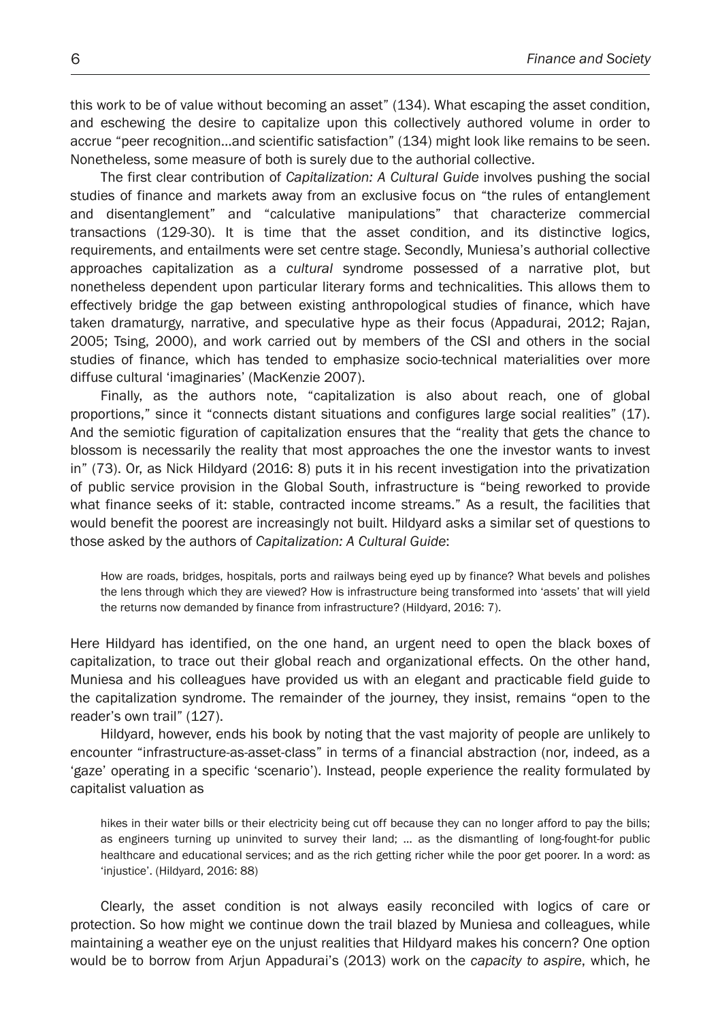this work to be of value without becoming an asset" (134). What escaping the asset condition, and eschewing the desire to capitalize upon this collectively authored volume in order to accrue "peer recognition…and scientific satisfaction" (134) might look like remains to be seen. Nonetheless, some measure of both is surely due to the authorial collective.

The first clear contribution of *Capitalization: A Cultural Guide* involves pushing the social studies of finance and markets away from an exclusive focus on "the rules of entanglement and disentanglement" and "calculative manipulations" that characterize commercial transactions (129-30). It is time that the asset condition, and its distinctive logics, requirements, and entailments were set centre stage. Secondly, Muniesa's authorial collective approaches capitalization as a *cultural* syndrome possessed of a narrative plot, but nonetheless dependent upon particular literary forms and technicalities. This allows them to effectively bridge the gap between existing anthropological studies of finance, which have taken dramaturgy, narrative, and speculative hype as their focus (Appadurai, 2012; Rajan, 2005; Tsing, 2000), and work carried out by members of the CSI and others in the social studies of finance, which has tended to emphasize socio-technical materialities over more diffuse cultural 'imaginaries' (MacKenzie 2007).

Finally, as the authors note, "capitalization is also about reach, one of global proportions," since it "connects distant situations and configures large social realities" (17). And the semiotic figuration of capitalization ensures that the "reality that gets the chance to blossom is necessarily the reality that most approaches the one the investor wants to invest in" (73). Or, as Nick Hildyard (2016: 8) puts it in his recent investigation into the privatization of public service provision in the Global South, infrastructure is "being reworked to provide what finance seeks of it: stable, contracted income streams." As a result, the facilities that would benefit the poorest are increasingly not built. Hildyard asks a similar set of questions to those asked by the authors of *Capitalization: A Cultural Guide*:

How are roads, bridges, hospitals, ports and railways being eyed up by finance? What bevels and polishes the lens through which they are viewed? How is infrastructure being transformed into 'assets' that will yield the returns now demanded by finance from infrastructure? (Hildyard, 2016: 7).

Here Hildyard has identified, on the one hand, an urgent need to open the black boxes of capitalization, to trace out their global reach and organizational effects. On the other hand, Muniesa and his colleagues have provided us with an elegant and practicable field guide to the capitalization syndrome. The remainder of the journey, they insist, remains "open to the reader's own trail" (127).

Hildyard, however, ends his book by noting that the vast majority of people are unlikely to encounter "infrastructure-as-asset-class" in terms of a financial abstraction (nor, indeed, as a 'gaze' operating in a specific 'scenario'). Instead, people experience the reality formulated by capitalist valuation as

hikes in their water bills or their electricity being cut off because they can no longer afford to pay the bills; as engineers turning up uninvited to survey their land; … as the dismantling of long-fought-for public healthcare and educational services; and as the rich getting richer while the poor get poorer. In a word: as 'injustice'. (Hildyard, 2016: 88)

Clearly, the asset condition is not always easily reconciled with logics of care or protection. So how might we continue down the trail blazed by Muniesa and colleagues, while maintaining a weather eye on the unjust realities that Hildyard makes his concern? One option would be to borrow from Arjun Appadurai's (2013) work on the *capacity to aspire*, which, he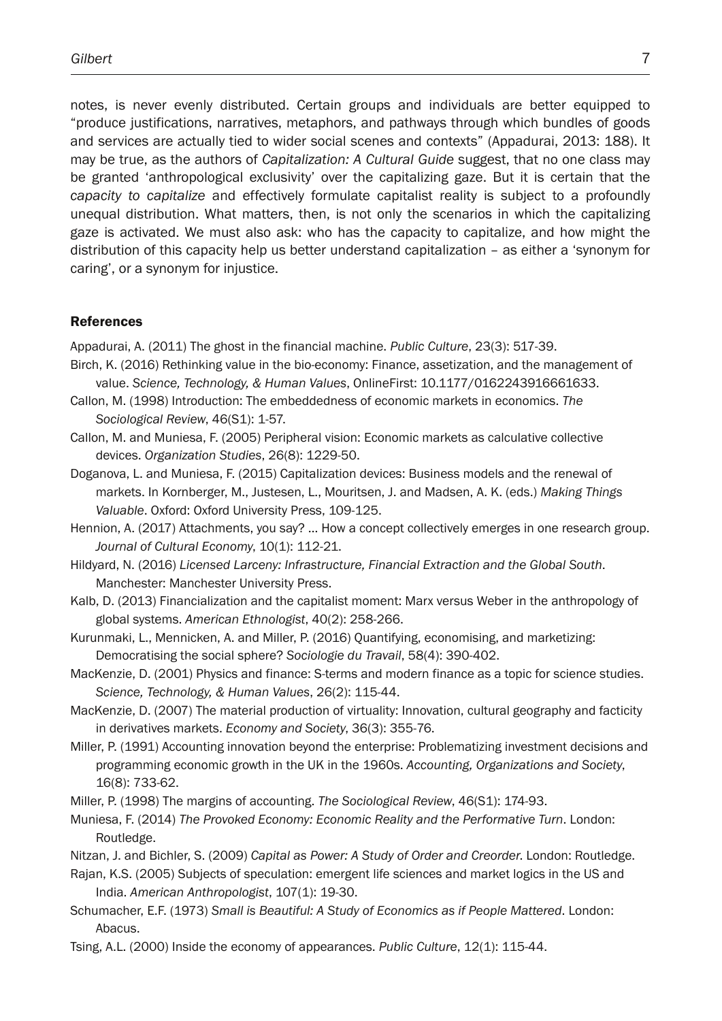notes, is never evenly distributed. Certain groups and individuals are better equipped to "produce justifications, narratives, metaphors, and pathways through which bundles of goods and services are actually tied to wider social scenes and contexts" (Appadurai, 2013: 188). It may be true, as the authors of *Capitalization: A Cultural Guide* suggest, that no one class may be granted 'anthropological exclusivity' over the capitalizing gaze. But it is certain that the *capacity to capitalize* and effectively formulate capitalist reality is subject to a profoundly unequal distribution. What matters, then, is not only the scenarios in which the capitalizing gaze is activated. We must also ask: who has the capacity to capitalize, and how might the distribution of this capacity help us better understand capitalization – as either a 'synonym for caring', or a synonym for injustice.

#### References

Appadurai, A. (2011) The ghost in the financial machine. *Public Culture*, 23(3): 517-39.

- Birch, K. (2016) Rethinking value in the bio-economy: Finance, assetization, and the management of value. *Science, Technology, & Human Values*, OnlineFirst: 10.1177/0162243916661633.
- Callon, M. (1998) Introduction: The embeddedness of economic markets in economics. *The Sociological Review*, 46(S1): 1-57.
- Callon, M. and Muniesa, F. (2005) Peripheral vision: Economic markets as calculative collective devices. *Organization Studies*, 26(8): 1229-50.
- Doganova, L. and Muniesa, F. (2015) Capitalization devices: Business models and the renewal of markets. In Kornberger, M., Justesen, L., Mouritsen, J. and Madsen, A. K. (eds.) *Making Things Valuable*. Oxford: Oxford University Press, 109-125.
- Hennion, A. (2017) Attachments, you say? … How a concept collectively emerges in one research group. *Journal of Cultural Economy*, 10(1): 112-21.
- Hildyard, N. (2016) *Licensed Larceny: Infrastructure, Financial Extraction and the Global South*. Manchester: Manchester University Press.
- Kalb, D. (2013) Financialization and the capitalist moment: Marx versus Weber in the anthropology of global systems. *American Ethnologist*, 40(2): 258-266.
- Kurunmaki, L., Mennicken, A. and Miller, P. (2016) Quantifying, economising, and marketizing: Democratising the social sphere? *Sociologie du Travail*, 58(4): 390-402.
- MacKenzie, D. (2001) Physics and finance: S-terms and modern finance as a topic for science studies. *Science, Technology, & Human Values*, 26(2): 115-44.
- MacKenzie, D. (2007) The material production of virtuality: Innovation, cultural geography and facticity in derivatives markets. *Economy and Society*, 36(3): 355-76.
- Miller, P. (1991) Accounting innovation beyond the enterprise: Problematizing investment decisions and programming economic growth in the UK in the 1960s. *Accounting, Organizations and Society*, 16(8): 733-62.

Miller, P. (1998) The margins of accounting. *The Sociological Review*, 46(S1): 174-93.

- Muniesa, F. (2014) *The Provoked Economy: Economic Reality and the Performative Turn*. London: Routledge.
- Nitzan, J. and Bichler, S. (2009) *Capital as Power: A Study of Order and Creorder*. London: Routledge.
- Rajan, K.S. (2005) Subjects of speculation: emergent life sciences and market logics in the US and India. *American Anthropologist*, 107(1): 19-30.
- Schumacher, E.F. (1973) *Small is Beautiful: A Study of Economics as if People Mattered*. London: Abacus.
- Tsing, A.L. (2000) Inside the economy of appearances. *Public Culture*, 12(1): 115-44.